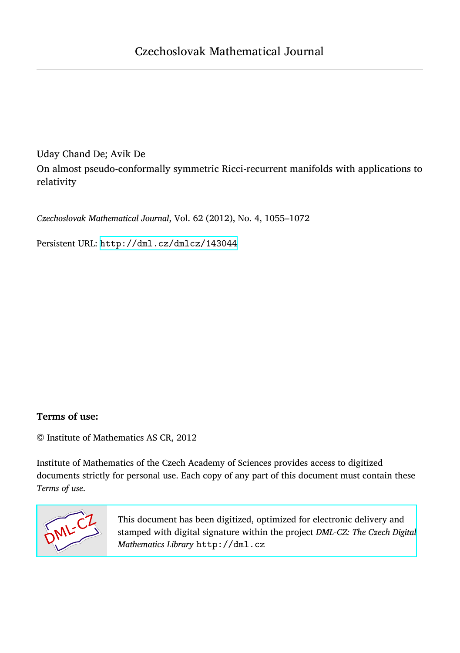Uday Chand De; Avik De On almost pseudo-conformally symmetric Ricci-recurrent manifolds with applications to relativity

*Czechoslovak Mathematical Journal*, Vol. 62 (2012), No. 4, 1055–1072

Persistent URL: <http://dml.cz/dmlcz/143044>

### **Terms of use:**

© Institute of Mathematics AS CR, 2012

Institute of Mathematics of the Czech Academy of Sciences provides access to digitized documents strictly for personal use. Each copy of any part of this document must contain these *Terms of use*.



[This document has been digitized, optimized for electronic delivery and](http://dml.cz) stamped with digital signature within the project *DML-CZ: The Czech Digital Mathematics Library* http://dml.cz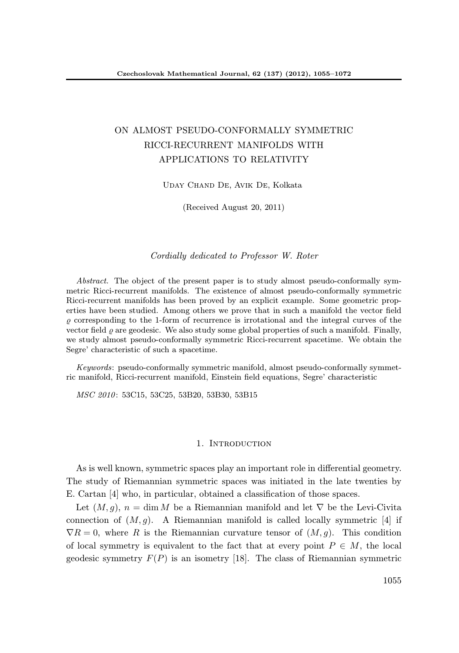# ON ALMOST PSEUDO-CONFORMALLY SYMMETRIC RICCI-RECURRENT MANIFOLDS WITH APPLICATIONS TO RELATIVITY

Uday Chand De, Avik De, Kolkata

(Received August 20, 2011)

Cordially dedicated to Professor W. Roter

Abstract. The object of the present paper is to study almost pseudo-conformally symmetric Ricci-recurrent manifolds. The existence of almost pseudo-conformally symmetric Ricci-recurrent manifolds has been proved by an explicit example. Some geometric properties have been studied. Among others we prove that in such a manifold the vector field  $\rho$  corresponding to the 1-form of recurrence is irrotational and the integral curves of the vector field  $\rho$  are geodesic. We also study some global properties of such a manifold. Finally, we study almost pseudo-conformally symmetric Ricci-recurrent spacetime. We obtain the Segre' characteristic of such a spacetime.

Keywords: pseudo-conformally symmetric manifold, almost pseudo-conformally symmetric manifold, Ricci-recurrent manifold, Einstein field equations, Segre' characteristic

MSC 2010: 53C15, 53C25, 53B20, 53B30, 53B15

#### 1. INTRODUCTION

As is well known, symmetric spaces play an important role in differential geometry. The study of Riemannian symmetric spaces was initiated in the late twenties by E. Cartan [4] who, in particular, obtained a classification of those spaces.

Let  $(M, g)$ ,  $n = \dim M$  be a Riemannian manifold and let  $\nabla$  be the Levi-Civita connection of  $(M, q)$ . A Riemannian manifold is called locally symmetric [4] if  $\nabla R = 0$ , where R is the Riemannian curvature tensor of  $(M, g)$ . This condition of local symmetry is equivalent to the fact that at every point  $P \in M$ , the local geodesic symmetry  $F(P)$  is an isometry [18]. The class of Riemannian symmetric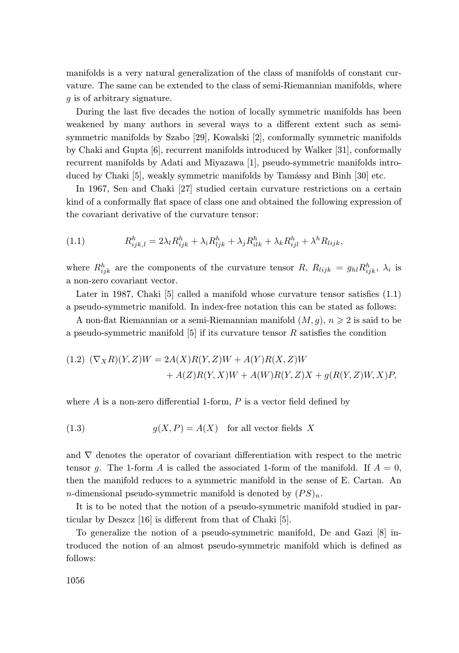manifolds is a very natural generalization of the class of manifolds of constant curvature. The same can be extended to the class of semi-Riemannian manifolds, where g is of arbitrary signature.

During the last five decades the notion of locally symmetric manifolds has been weakened by many authors in several ways to a different extent such as semisymmetric manifolds by Szabo [29], Kowalski [2], conformally symmetric manifolds by Chaki and Gupta [6], recurrent manifolds introduced by Walker [31], conformally recurrent manifolds by Adati and Miyazawa [1], pseudo-symmetric manifolds introduced by Chaki [5], weakly symmetric manifolds by Tamássy and Binh [30] etc.

In 1967, Sen and Chaki [27] studied certain curvature restrictions on a certain kind of a conformally flat space of class one and obtained the following expression of the covariant derivative of the curvature tensor:

(1.1) 
$$
R_{ijk,l}^h = 2\lambda_l R_{ijk}^h + \lambda_i R_{ljk}^h + \lambda_j R_{ilk}^h + \lambda_k R_{ijl}^h + \lambda^h R_{lijk},
$$

where  $R_{ijk}^h$  are the components of the curvature tensor  $R$ ,  $R_{lijk} = g_{hl}R_{ijk}^h$ ,  $\lambda_i$  is a non-zero covariant vector.

Later in 1987, Chaki [5] called a manifold whose curvature tensor satisfies  $(1.1)$ a pseudo-symmetric manifold. In index-free notation this can be stated as follows:

A non-flat Riemannian or a semi-Riemannian manifold  $(M, g)$ ,  $n \geq 2$  is said to be a pseudo-symmetric manifold  $[5]$  if its curvature tensor R satisfies the condition

(1.2) 
$$
(\nabla_X R)(Y, Z)W = 2A(X)R(Y, Z)W + A(Y)R(X, Z)W
$$
  
  $+ A(Z)R(Y, X)W + A(W)R(Y, Z)X + g(R(Y, Z)W, X)P,$ 

where  $A$  is a non-zero differential 1-form,  $P$  is a vector field defined by

(1.3) 
$$
g(X, P) = A(X) \text{ for all vector fields } X
$$

and ∇ denotes the operator of covariant differentiation with respect to the metric tensor g. The 1-form A is called the associated 1-form of the manifold. If  $A = 0$ , then the manifold reduces to a symmetric manifold in the sense of E. Cartan. An *n*-dimensional pseudo-symmetric manifold is denoted by  $(PS)_n$ .

It is to be noted that the notion of a pseudo-symmetric manifold studied in particular by Deszcz [16] is different from that of Chaki [5].

To generalize the notion of a pseudo-symmetric manifold, De and Gazi [8] introduced the notion of an almost pseudo-symmetric manifold which is defined as follows: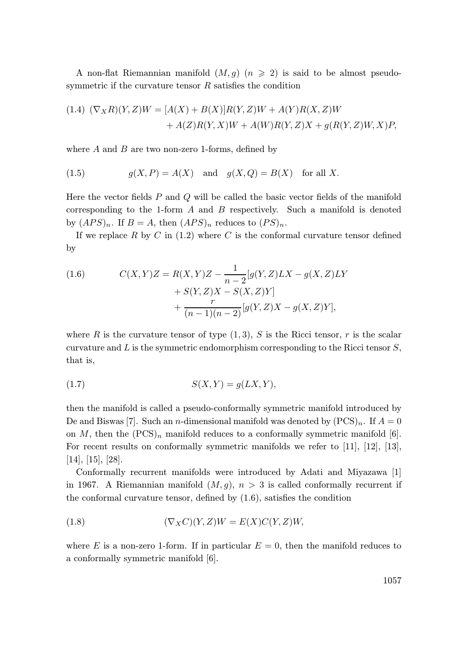A non-flat Riemannian manifold  $(M, q)$   $(n \geq 2)$  is said to be almost pseudosymmetric if the curvature tensor  $R$  satisfies the condition

(1.4) 
$$
(\nabla_X R)(Y, Z)W = [A(X) + B(X)]R(Y, Z)W + A(Y)R(X, Z)W
$$
  
  $+ A(Z)R(Y, X)W + A(W)R(Y, Z)X + g(R(Y, Z)W, X)P$ 

where  $A$  and  $B$  are two non-zero 1-forms, defined by

(1.5) 
$$
g(X, P) = A(X) \text{ and } g(X, Q) = B(X) \text{ for all } X.
$$

Here the vector fields P and Q will be called the basic vector fields of the manifold corresponding to the 1-form  $A$  and  $B$  respectively. Such a manifold is denoted by  $(APS)_n$ . If  $B = A$ , then  $(APS)_n$  reduces to  $(PS)_n$ .

If we replace R by C in  $(1.2)$  where C is the conformal curvature tensor defined by

(1.6) 
$$
C(X,Y)Z = R(X,Y)Z - \frac{1}{n-2}[g(Y,Z)LX - g(X,Z)LY + S(Y,Z)X - S(X,Z)Y] + \frac{r}{(n-1)(n-2)}[g(Y,Z)X - g(X,Z)Y],
$$

where R is the curvature tensor of type  $(1, 3)$ , S is the Ricci tensor, r is the scalar curvature and  $L$  is the symmetric endomorphism corresponding to the Ricci tensor  $S$ , that is,

$$
(1.7) \tS(X,Y) = g(LX,Y),
$$

then the manifold is called a pseudo-conformally symmetric manifold introduced by De and Biswas [7]. Such an *n*-dimensional manifold was denoted by  $(PCS)_n$ . If  $A = 0$ on M, then the  $(PCS)<sub>n</sub>$  manifold reduces to a conformally symmetric manifold [6]. For recent results on conformally symmetric manifolds we refer to [11], [12], [13], [14], [15], [28].

Conformally recurrent manifolds were introduced by Adati and Miyazawa [1] in 1967. A Riemannian manifold  $(M, g)$ ,  $n > 3$  is called conformally recurrent if the conformal curvature tensor, defined by (1.6), satisfies the condition

(1.8) 
$$
(\nabla_X C)(Y,Z)W = E(X)C(Y,Z)W,
$$

where E is a non-zero 1-form. If in particular  $E = 0$ , then the manifold reduces to a conformally symmetric manifold [6].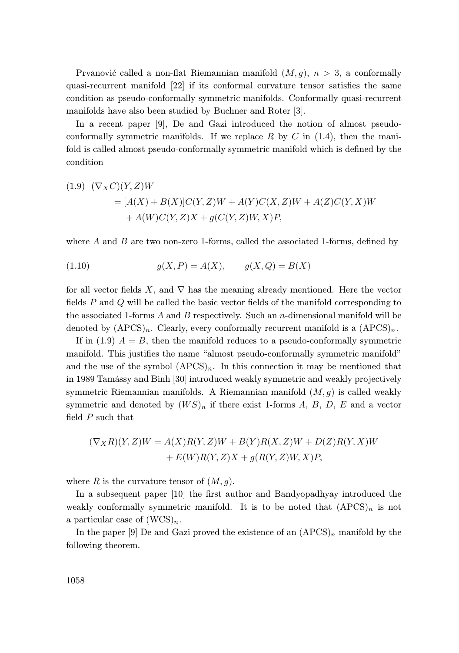Prvanović called a non-flat Riemannian manifold  $(M, q)$ ,  $n > 3$ , a conformally quasi-recurrent manifold [22] if its conformal curvature tensor satisfies the same condition as pseudo-conformally symmetric manifolds. Conformally quasi-recurrent manifolds have also been studied by Buchner and Roter [3].

In a recent paper [9], De and Gazi introduced the notion of almost pseudoconformally symmetric manifolds. If we replace  $R$  by  $C$  in (1.4), then the manifold is called almost pseudo-conformally symmetric manifold which is defined by the condition

(1.9) 
$$
(\nabla_X C)(Y, Z)W
$$
  
=  $[A(X) + B(X)]C(Y, Z)W + A(Y)C(X, Z)W + A(Z)C(Y, X)W$   
+  $A(W)C(Y, Z)X + g(C(Y, Z)W, X)P$ ,

where  $A$  and  $B$  are two non-zero 1-forms, called the associated 1-forms, defined by

(1.10) 
$$
g(X, P) = A(X), \qquad g(X, Q) = B(X)
$$

for all vector fields X, and  $\nabla$  has the meaning already mentioned. Here the vector fields P and Q will be called the basic vector fields of the manifold corresponding to the associated 1-forms  $A$  and  $B$  respectively. Such an n-dimensional manifold will be denoted by  $(APCS)_n$ . Clearly, every conformally recurrent manifold is a  $(APCS)_n$ .

If in (1.9)  $A = B$ , then the manifold reduces to a pseudo-conformally symmetric manifold. This justifies the name "almost pseudo-conformally symmetric manifold" and the use of the symbol  $(APCS)_n$ . In this connection it may be mentioned that in 1989 Tamássy and Binh [30] introduced weakly symmetric and weakly projectively symmetric Riemannian manifolds. A Riemannian manifold  $(M, g)$  is called weakly symmetric and denoted by  $(W S)_n$  if there exist 1-forms A, B, D, E and a vector field  $P$  such that

$$
(\nabla_X R)(Y,Z)W = A(X)R(Y,Z)W + B(Y)R(X,Z)W + D(Z)R(Y,X)W
$$
  
+ E(W)R(Y,Z)X + g(R(Y,Z)W,X)P,

where R is the curvature tensor of  $(M, g)$ .

In a subsequent paper [10] the first author and Bandyopadhyay introduced the weakly conformally symmetric manifold. It is to be noted that  $(APCS)<sub>n</sub>$  is not a particular case of  $(WCS)_n$ .

In the paper [9] De and Gazi proved the existence of an  $(APCS)<sub>n</sub>$  manifold by the following theorem.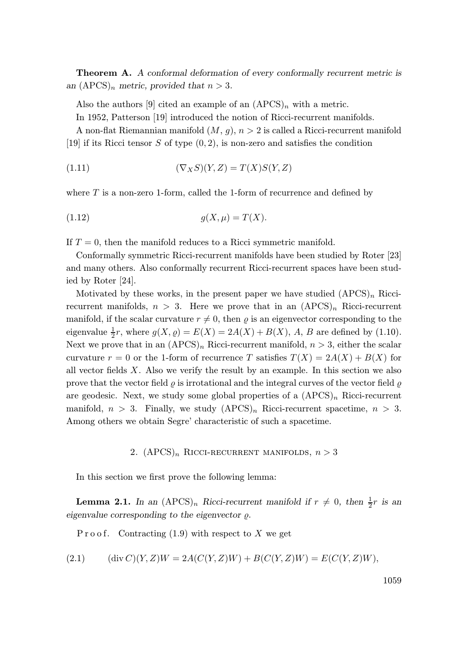Theorem A. A conformal deformation of every conformally recurrent metric is an  $(APCS)_n$  metric, provided that  $n > 3$ .

Also the authors [9] cited an example of an  $(APCS)<sub>n</sub>$  with a metric.

In 1952, Patterson [19] introduced the notion of Ricci-recurrent manifolds.

A non-flat Riemannian manifold  $(M, g)$ ,  $n > 2$  is called a Ricci-recurrent manifold [19] if its Ricci tensor S of type  $(0, 2)$ , is non-zero and satisfies the condition

$$
(1.11)\qquad \qquad (\nabla_X S)(Y,Z) = T(X)S(Y,Z)
$$

where  $T$  is a non-zero 1-form, called the 1-form of recurrence and defined by

$$
(1.12) \t\t g(X,\mu) = T(X).
$$

If  $T = 0$ , then the manifold reduces to a Ricci symmetric manifold.

Conformally symmetric Ricci-recurrent manifolds have been studied by Roter [23] and many others. Also conformally recurrent Ricci-recurrent spaces have been studied by Roter [24].

Motivated by these works, in the present paper we have studied  $(APCS)<sub>n</sub>$  Riccirecurrent manifolds,  $n > 3$ . Here we prove that in an  $(APCS)<sub>n</sub>$  Ricci-recurrent manifold, if the scalar curvature  $r \neq 0$ , then  $\varrho$  is an eigenvector corresponding to the eigenvalue  $\frac{1}{2}r$ , where  $g(X, \varrho) = E(X) = 2A(X) + B(X)$ , A, B are defined by (1.10). Next we prove that in an  $(APCS)<sub>n</sub>$  Ricci-recurrent manifold,  $n > 3$ , either the scalar curvature  $r = 0$  or the 1-form of recurrence T satisfies  $T(X) = 2A(X) + B(X)$  for all vector fields X. Also we verify the result by an example. In this section we also prove that the vector field  $\rho$  is irrotational and the integral curves of the vector field  $\rho$ are geodesic. Next, we study some global properties of a  $(APCS)<sub>n</sub>$  Ricci-recurrent manifold,  $n > 3$ . Finally, we study  $(APCS)<sub>n</sub>$  Ricci-recurrent spacetime,  $n > 3$ . Among others we obtain Segre' characteristic of such a spacetime.

2.  $(APCS)_n$  RICCI-RECURRENT MANIFOLDS,  $n > 3$ 

In this section we first prove the following lemma:

**Lemma 2.1.** In an  $(APCS)_n$  Ricci-recurrent manifold if  $r \neq 0$ , then  $\frac{1}{2}r$  is an eigenvalue corresponding to the eigenvector  $\rho$ .

P r o o f. Contracting  $(1.9)$  with respect to X we get

(2.1) 
$$
(\text{div } C)(Y, Z)W = 2A(C(Y, Z)W) + B(C(Y, Z)W) = E(C(Y, Z)W),
$$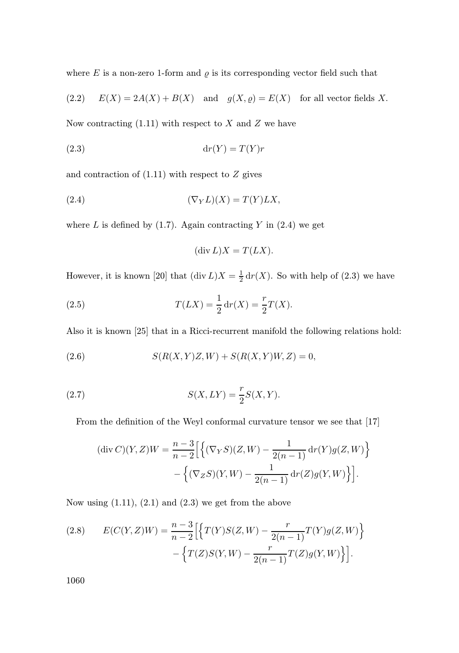where  $E$  is a non-zero 1-form and  $\rho$  is its corresponding vector field such that

(2.2) 
$$
E(X) = 2A(X) + B(X)
$$
 and  $g(X, \varrho) = E(X)$  for all vector fields X.

Now contracting  $(1.11)$  with respect to X and Z we have

$$
(2.3) \t\t dr(Y) = T(Y)r
$$

and contraction of  $(1.11)$  with respect to  $Z$  gives

$$
(2.4) \t\t (\nabla_Y L)(X) = T(Y) L X,
$$

where L is defined by  $(1.7)$ . Again contracting Y in  $(2.4)$  we get

$$
(\operatorname{div} L)X = T(LX).
$$

However, it is known [20] that  $(\text{div } L)X = \frac{1}{2} dr(X)$ . So with help of (2.3) we have

(2.5) 
$$
T(LX) = \frac{1}{2} dr(X) = \frac{r}{2}T(X).
$$

Also it is known [25] that in a Ricci-recurrent manifold the following relations hold:

(2.6) 
$$
S(R(X,Y)Z,W) + S(R(X,Y)W,Z) = 0,
$$

(2.7) 
$$
S(X,LY) = \frac{r}{2}S(X,Y).
$$

From the definition of the Weyl conformal curvature tensor we see that [17]

$$
(\text{div } C)(Y, Z)W = \frac{n-3}{n-2} \Big[ \Big\{ (\nabla_Y S)(Z, W) - \frac{1}{2(n-1)} \, dr(Y)g(Z, W) \Big\} - \Big\{ (\nabla_Z S)(Y, W) - \frac{1}{2(n-1)} \, dr(Z)g(Y, W) \Big\} \Big].
$$

Now using  $(1.11)$ ,  $(2.1)$  and  $(2.3)$  we get from the above

(2.8) 
$$
E(C(Y, Z)W) = \frac{n-3}{n-2} \Big[ \Big\{ T(Y)S(Z, W) - \frac{r}{2(n-1)} T(Y)g(Z, W) \Big\} - \Big\{ T(Z)S(Y, W) - \frac{r}{2(n-1)} T(Z)g(Y, W) \Big\} \Big].
$$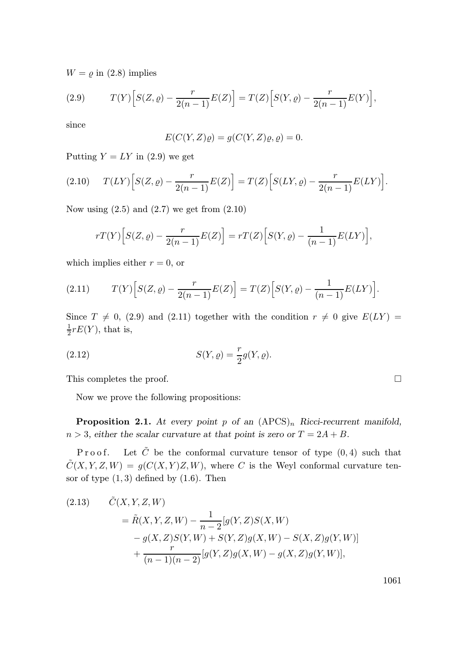$W = \varrho$  in (2.8) implies

(2.9) 
$$
T(Y) \Big[ S(Z, \varrho) - \frac{r}{2(n-1)} E(Z) \Big] = T(Z) \Big[ S(Y, \varrho) - \frac{r}{2(n-1)} E(Y) \Big],
$$

since

$$
E(C(Y, Z)\varrho) = g(C(Y, Z)\varrho, \varrho) = 0.
$$

Putting  $Y = LY$  in (2.9) we get

(2.10) 
$$
T(LY)\Big[S(Z,\varrho) - \frac{r}{2(n-1)}E(Z)\Big] = T(Z)\Big[S(LY,\varrho) - \frac{r}{2(n-1)}E(LY)\Big].
$$

Now using  $(2.5)$  and  $(2.7)$  we get from  $(2.10)$ 

$$
rT(Y)\Big[S(Z,\varrho)-\frac{r}{2(n-1)}E(Z)\Big]=rT(Z)\Big[S(Y,\varrho)-\frac{1}{(n-1)}E(LY)\Big],
$$

which implies either  $r = 0$ , or

(2.11) 
$$
T(Y) \Big[ S(Z, \varrho) - \frac{r}{2(n-1)} E(Z) \Big] = T(Z) \Big[ S(Y, \varrho) - \frac{1}{(n-1)} E(LY) \Big].
$$

Since  $T \neq 0$ , (2.9) and (2.11) together with the condition  $r \neq 0$  give  $E(LY)$  =  $\frac{1}{2}rE(Y)$ , that is,

(2.12) 
$$
S(Y, \varrho) = \frac{r}{2}g(Y, \varrho).
$$

This completes the proof.

Now we prove the following propositions:

**Proposition 2.1.** At every point p of an  $(APCS)<sub>n</sub>$  Ricci-recurrent manifold,  $n > 3$ , either the scalar curvature at that point is zero or  $T = 2A + B$ .

P r o o f. Let  $\tilde{C}$  be the conformal curvature tensor of type  $(0, 4)$  such that  $\tilde{C}(X, Y, Z, W) = g(C(X, Y)Z, W)$ , where C is the Weyl conformal curvature tensor of type  $(1,3)$  defined by  $(1.6)$ . Then

(2.13) 
$$
\tilde{C}(X, Y, Z, W) = \tilde{R}(X, Y, Z, W) - \frac{1}{n-2} [g(Y, Z)S(X, W) - g(X, Z)S(Y, W) + S(Y, Z)g(X, W) - S(X, Z)g(Y, W)] + \frac{r}{(n-1)(n-2)} [g(Y, Z)g(X, W) - g(X, Z)g(Y, W)],
$$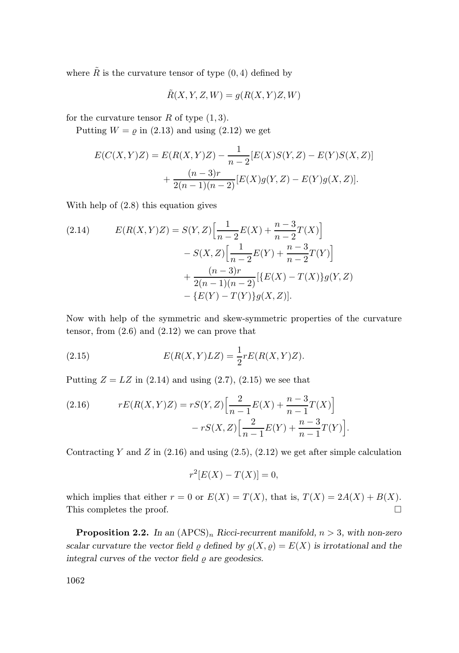where  $\tilde{R}$  is the curvature tensor of type  $(0, 4)$  defined by

$$
\tilde{R}(X, Y, Z, W) = g(R(X, Y)Z, W)
$$

for the curvature tensor  $R$  of type  $(1, 3)$ .

Putting  $W = \rho$  in (2.13) and using (2.12) we get

$$
E(C(X, Y)Z) = E(R(X, Y)Z) - \frac{1}{n-2}[E(X)S(Y, Z) - E(Y)S(X, Z)] + \frac{(n-3)r}{2(n-1)(n-2)}[E(X)g(Y, Z) - E(Y)g(X, Z)].
$$

With help of (2.8) this equation gives

(2.14) 
$$
E(R(X,Y)Z) = S(Y,Z) \Big[ \frac{1}{n-2} E(X) + \frac{n-3}{n-2} T(X) \Big] - S(X,Z) \Big[ \frac{1}{n-2} E(Y) + \frac{n-3}{n-2} T(Y) \Big] + \frac{(n-3)r}{2(n-1)(n-2)} \Big[ \{ E(X) - T(X) \} g(Y,Z) - \{ E(Y) - T(Y) \} g(X,Z) \Big].
$$

Now with help of the symmetric and skew-symmetric properties of the curvature tensor, from  $(2.6)$  and  $(2.12)$  we can prove that

(2.15) 
$$
E(R(X,Y)LZ) = \frac{1}{2}rE(R(X,Y)Z).
$$

Putting  $Z = LZ$  in (2.14) and using (2.7), (2.15) we see that

(2.16) 
$$
rE(R(X,Y)Z) = rS(Y,Z)\left[\frac{2}{n-1}E(X) + \frac{n-3}{n-1}T(X)\right] - rS(X,Z)\left[\frac{2}{n-1}E(Y) + \frac{n-3}{n-1}T(Y)\right].
$$

Contracting Y and Z in  $(2.16)$  and using  $(2.5)$ ,  $(2.12)$  we get after simple calculation

$$
r^2[E(X) - T(X)] = 0,
$$

which implies that either  $r = 0$  or  $E(X) = T(X)$ , that is,  $T(X) = 2A(X) + B(X)$ . This completes the proof.  $\Box$ 

**Proposition 2.2.** In an  $(APCS)<sub>n</sub>$  Ricci-recurrent manifold,  $n > 3$ , with non-zero scalar curvature the vector field  $\varrho$  defined by  $g(X, \varrho) = E(X)$  is irrotational and the integral curves of the vector field  $\rho$  are geodesics.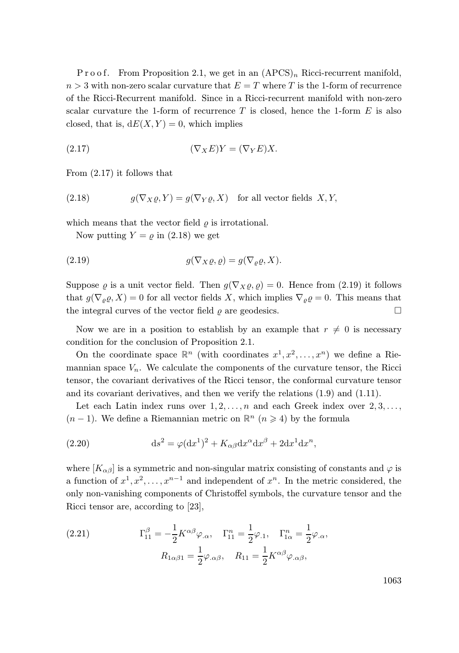P r o o f. From Proposition 2.1, we get in an  $(APCS)<sub>n</sub>$  Ricci-recurrent manifold,  $n > 3$  with non-zero scalar curvature that  $E = T$  where T is the 1-form of recurrence of the Ricci-Recurrent manifold. Since in a Ricci-recurrent manifold with non-zero scalar curvature the 1-form of recurrence  $T$  is closed, hence the 1-form  $E$  is also closed, that is,  $dE(X, Y) = 0$ , which implies

$$
(2.17) \t\t (\nabla_X E)Y = (\nabla_Y E)X.
$$

From (2.17) it follows that

(2.18) 
$$
g(\nabla_X \varrho, Y) = g(\nabla_Y \varrho, X) \text{ for all vector fields } X, Y,
$$

which means that the vector field  $\rho$  is irrotational.

Now putting  $Y = \rho$  in (2.18) we get

(2.19) 
$$
g(\nabla_X \varrho, \varrho) = g(\nabla_\varrho \varrho, X).
$$

Suppose  $\varrho$  is a unit vector field. Then  $g(\nabla_X \varrho, \varrho) = 0$ . Hence from (2.19) it follows that  $g(\nabla_{\rho} \varrho, X) = 0$  for all vector fields X, which implies  $\nabla_{\rho} \varrho = 0$ . This means that the integral curves of the vector field  $\rho$  are geodesics.

Now we are in a position to establish by an example that  $r \neq 0$  is necessary condition for the conclusion of Proposition 2.1.

On the coordinate space  $\mathbb{R}^n$  (with coordinates  $x^1, x^2, \ldots, x^n$ ) we define a Riemannian space  $V_n$ . We calculate the components of the curvature tensor, the Ricci tensor, the covariant derivatives of the Ricci tensor, the conformal curvature tensor and its covariant derivatives, and then we verify the relations (1.9) and (1.11).

Let each Latin index runs over  $1, 2, \ldots, n$  and each Greek index over  $2, 3, \ldots$ ,  $(n-1)$ . We define a Riemannian metric on  $\mathbb{R}^n$   $(n \geq 4)$  by the formula

(2.20) 
$$
ds^{2} = \varphi(dx^{1})^{2} + K_{\alpha\beta}dx^{\alpha}dx^{\beta} + 2dx^{1}dx^{n},
$$

where  $[K_{\alpha\beta}]$  is a symmetric and non-singular matrix consisting of constants and  $\varphi$  is a function of  $x^1, x^2, \ldots, x^{n-1}$  and independent of  $x^n$ . In the metric considered, the only non-vanishing components of Christoffel symbols, the curvature tensor and the Ricci tensor are, according to [23],

(2.21) 
$$
\Gamma_{11}^{\beta} = -\frac{1}{2} K^{\alpha \beta} \varphi_{.\alpha}, \quad \Gamma_{11}^{n} = \frac{1}{2} \varphi_{.1}, \quad \Gamma_{1\alpha}^{n} = \frac{1}{2} \varphi_{.\alpha}, R_{1\alpha\beta 1} = \frac{1}{2} \varphi_{.\alpha\beta}, \quad R_{11} = \frac{1}{2} K^{\alpha \beta} \varphi_{.\alpha\beta},
$$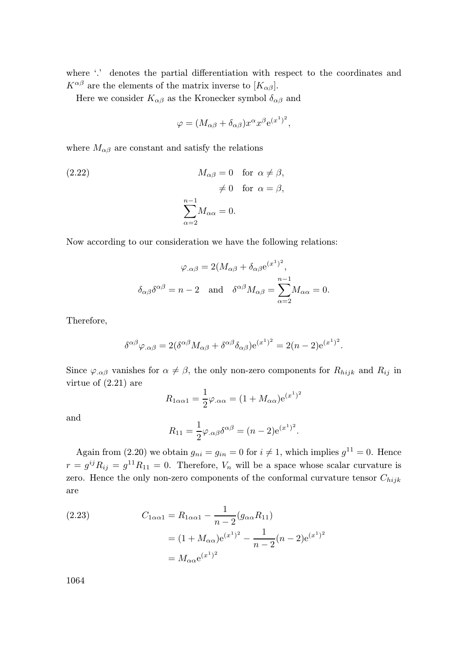where '.' denotes the partial differentiation with respect to the coordinates and  $K^{\alpha\beta}$  are the elements of the matrix inverse to  $[K_{\alpha\beta}]$ .

Here we consider  $K_{\alpha\beta}$  as the Kronecker symbol  $\delta_{\alpha\beta}$  and

$$
\varphi = (M_{\alpha\beta} + \delta_{\alpha\beta})x^{\alpha}x^{\beta}e^{(x^1)^2},
$$

where  $M_{\alpha\beta}$  are constant and satisfy the relations

(2.22) 
$$
M_{\alpha\beta} = 0 \text{ for } \alpha \neq \beta, \neq 0 \text{ for } \alpha = \beta, \sum_{\alpha=2}^{n-1} M_{\alpha\alpha} = 0.
$$

Now according to our consideration we have the following relations:

$$
\varphi_{.\alpha\beta} = 2(M_{\alpha\beta} + \delta_{\alpha\beta}e^{(x^1)^2},
$$

$$
\delta_{\alpha\beta}\delta^{\alpha\beta} = n - 2 \text{ and } \delta^{\alpha\beta}M_{\alpha\beta} = \sum_{\alpha=2}^{n-1} M_{\alpha\alpha} = 0.
$$

Therefore,

$$
\delta^{\alpha\beta}\varphi_{.\alpha\beta} = 2(\delta^{\alpha\beta}M_{\alpha\beta} + \delta^{\alpha\beta}\delta_{\alpha\beta})e^{(x^1)^2} = 2(n-2)e^{(x^1)^2}.
$$

Since  $\varphi_{\alpha\beta}$  vanishes for  $\alpha \neq \beta$ , the only non-zero components for  $R_{hijk}$  and  $R_{ij}$  in virtue of (2.21) are

$$
R_{1\alpha\alpha1} = \frac{1}{2}\varphi_{.\alpha\alpha} = (1 + M_{\alpha\alpha})e^{(x^1)^2}
$$

and

$$
R_{11} = \frac{1}{2} \varphi_{.\alpha\beta} \delta^{\alpha\beta} = (n-2)e^{(x^1)^2}.
$$

Again from (2.20) we obtain  $g_{ni} = g_{in} = 0$  for  $i \neq 1$ , which implies  $g^{11} = 0$ . Hence  $r = g^{ij}R_{ij} = g^{11}R_{11} = 0$ . Therefore,  $V_n$  will be a space whose scalar curvature is zero. Hence the only non-zero components of the conformal curvature tensor  $C_{hijk}$ are

(2.23) 
$$
C_{1\alpha\alpha 1} = R_{1\alpha\alpha 1} - \frac{1}{n-2} (g_{\alpha\alpha} R_{11})
$$

$$
= (1 + M_{\alpha\alpha}) e^{(x^1)^2} - \frac{1}{n-2} (n-2) e^{(x^1)^2}
$$

$$
= M_{\alpha\alpha} e^{(x^1)^2}
$$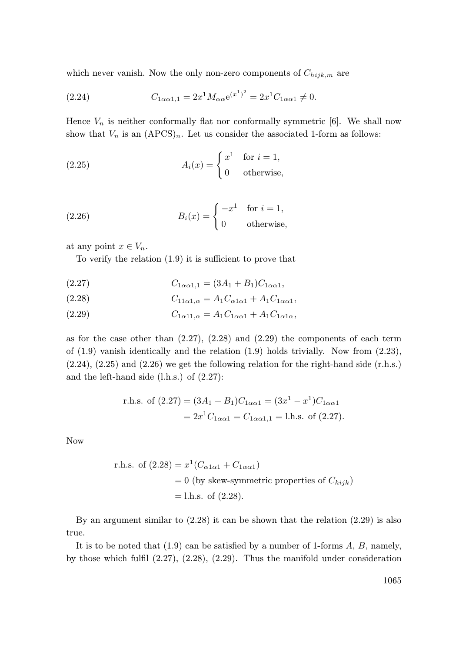which never vanish. Now the only non-zero components of  $C_{hijk,m}$  are

(2.24) 
$$
C_{1\alpha\alpha 1,1} = 2x^1 M_{\alpha\alpha} e^{(x^1)^2} = 2x^1 C_{1\alpha\alpha 1} \neq 0.
$$

Hence  $V_n$  is neither conformally flat nor conformally symmetric [6]. We shall now show that  $V_n$  is an  $(APCS)_n$ . Let us consider the associated 1-form as follows:

(2.25) 
$$
A_i(x) = \begin{cases} x^1 & \text{for } i = 1, \\ 0 & \text{otherwise,} \end{cases}
$$

(2.26) 
$$
B_i(x) = \begin{cases} -x^1 & \text{for } i = 1, \\ 0 & \text{otherwise,} \end{cases}
$$

at any point  $x \in V_n$ .

To verify the relation (1.9) it is sufficient to prove that

(2.27) 
$$
C_{1\alpha\alpha1,1} = (3A_1 + B_1)C_{1\alpha\alpha1},
$$

(2.28) 
$$
C_{11\alpha 1,\alpha} = A_1 C_{\alpha 1\alpha 1} + A_1 C_{1\alpha \alpha 1},
$$

(2.29) 
$$
C_{1\alpha 11,\alpha} = A_1 C_{1\alpha \alpha 1} + A_1 C_{1\alpha 1\alpha},
$$

as for the case other than  $(2.27)$ ,  $(2.28)$  and  $(2.29)$  the components of each term of (1.9) vanish identically and the relation (1.9) holds trivially. Now from (2.23), (2.24), (2.25) and (2.26) we get the following relation for the right-hand side (r.h.s.) and the left-hand side (l.h.s.) of (2.27):

r.h.s. of 
$$
(2.27) = (3A_1 + B_1)C_{1\alpha\alpha 1} = (3x^1 - x^1)C_{1\alpha\alpha 1}
$$
  
=  $2x^1C_{1\alpha\alpha 1} = C_{1\alpha\alpha 1,1} =$  l.h.s. of (2.27).

Now

r.h.s. of (2.28) = 
$$
x^1(C_{\alpha 1 \alpha 1} + C_{1 \alpha \alpha 1})
$$
  
= 0 (by skew-symmetric properties of  $C_{hijk}$ )  
= l.h.s. of (2.28).

By an argument similar to (2.28) it can be shown that the relation (2.29) is also true.

It is to be noted that  $(1.9)$  can be satisfied by a number of 1-forms  $A, B$ , namely, by those which fulfil (2.27), (2.28), (2.29). Thus the manifold under consideration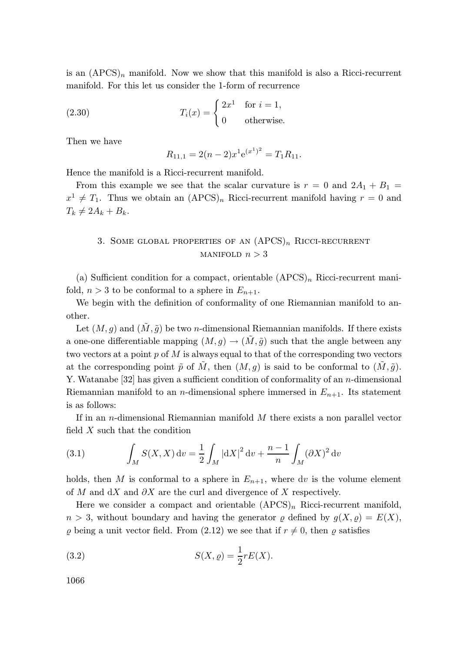is an  $(APCS)<sub>n</sub>$  manifold. Now we show that this manifold is also a Ricci-recurrent manifold. For this let us consider the 1-form of recurrence

(2.30) 
$$
T_i(x) = \begin{cases} 2x^1 & \text{for } i = 1, \\ 0 & \text{otherwise.} \end{cases}
$$

Then we have

$$
R_{11,1} = 2(n-2)x^{1}e^{(x^{1})^{2}} = T_{1}R_{11}.
$$

Hence the manifold is a Ricci-recurrent manifold.

From this example we see that the scalar curvature is  $r = 0$  and  $2A_1 + B_1 =$  $x^1 \neq T_1$ . Thus we obtain an  $(APCS)<sub>n</sub>$  Ricci-recurrent manifold having  $r = 0$  and  $T_k \neq 2A_k + B_k.$ 

## 3. SOME GLOBAL PROPERTIES OF AN  $(APCS)_n$  RICCI-RECURRENT MANIFOLD  $n > 3$

(a) Sufficient condition for a compact, orientable  $(APCS)<sub>n</sub>$  Ricci-recurrent manifold,  $n > 3$  to be conformal to a sphere in  $E_{n+1}$ .

We begin with the definition of conformality of one Riemannian manifold to another.

Let  $(M, q)$  and  $(M, \tilde{q})$  be two *n*-dimensional Riemannian manifolds. If there exists a one-one differentiable mapping  $(M, g) \to (\tilde{M}, \tilde{g})$  such that the angle between any two vectors at a point  $p \text{ of } M$  is always equal to that of the corresponding two vectors at the corresponding point  $\tilde{p}$  of  $\tilde{M}$ , then  $(M, q)$  is said to be conformal to  $(\tilde{M}, \tilde{q})$ . Y. Watanabe [32] has given a sufficient condition of conformality of an n-dimensional Riemannian manifold to an *n*-dimensional sphere immersed in  $E_{n+1}$ . Its statement is as follows:

If in an *n*-dimensional Riemannian manifold  $M$  there exists a non parallel vector field X such that the condition

(3.1) 
$$
\int_M S(X,X) dv = \frac{1}{2} \int_M |dX|^2 dv + \frac{n-1}{n} \int_M (\partial X)^2 dv
$$

holds, then M is conformal to a sphere in  $E_{n+1}$ , where dv is the volume element of M and dX and  $\partial X$  are the curl and divergence of X respectively.

Here we consider a compact and orientable  $(APCS)<sub>n</sub>$  Ricci-recurrent manifold,  $n > 3$ , without boundary and having the generator  $\rho$  defined by  $g(X, \rho) = E(X)$ ,  $\rho$  being a unit vector field. From (2.12) we see that if  $r \neq 0$ , then  $\rho$  satisfies

(3.2) 
$$
S(X, \varrho) = \frac{1}{2} r E(X).
$$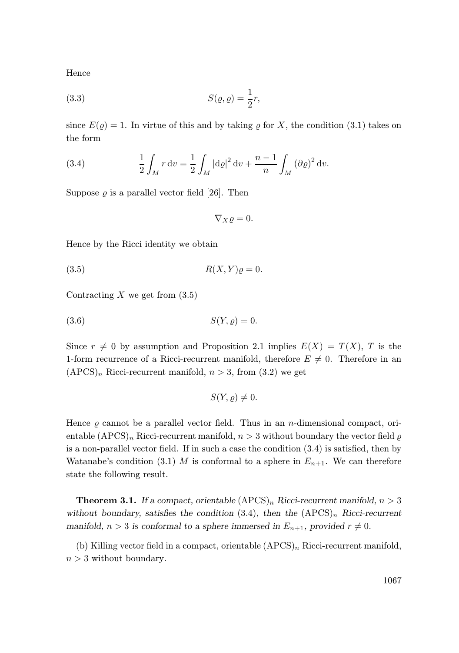Hence

(3.3) 
$$
S(\varrho, \varrho) = \frac{1}{2}r,
$$

since  $E(\rho) = 1$ . In virtue of this and by taking  $\rho$  for X, the condition (3.1) takes on the form

(3.4) 
$$
\frac{1}{2} \int_M r \, dv = \frac{1}{2} \int_M |\mathrm{d}\varrho|^2 \, dv + \frac{n-1}{n} \int_M (\partial \varrho)^2 \, dv.
$$

Suppose  $\rho$  is a parallel vector field [26]. Then

$$
\nabla_X \varrho = 0.
$$

Hence by the Ricci identity we obtain

$$
(3.5) \t\t R(X,Y)\varrho = 0.
$$

Contracting  $X$  we get from  $(3.5)$ 

$$
(3.6) \tS(Y, \varrho) = 0.
$$

Since  $r \neq 0$  by assumption and Proposition 2.1 implies  $E(X) = T(X)$ , T is the 1-form recurrence of a Ricci-recurrent manifold, therefore  $E \neq 0$ . Therefore in an  $(APCS)<sub>n</sub>$  Ricci-recurrent manifold,  $n > 3$ , from  $(3.2)$  we get

$$
S(Y, \varrho) \neq 0.
$$

Hence  $\rho$  cannot be a parallel vector field. Thus in an *n*-dimensional compact, orientable  $(APCS)<sub>n</sub>$  Ricci-recurrent manifold,  $n > 3$  without boundary the vector field  $\varrho$ is a non-parallel vector field. If in such a case the condition (3.4) is satisfied, then by Watanabe's condition (3.1) M is conformal to a sphere in  $E_{n+1}$ . We can therefore state the following result.

**Theorem 3.1.** If a compact, orientable  $(\text{APCS})_n$  Ricci-recurrent manifold,  $n > 3$ without boundary, satisfies the condition  $(3.4)$ , then the  $(APCS)<sub>n</sub>$  Ricci-recurrent manifold,  $n > 3$  is conformal to a sphere immersed in  $E_{n+1}$ , provided  $r \neq 0$ .

(b) Killing vector field in a compact, orientable  $(APCS)<sub>n</sub>$  Ricci-recurrent manifold,  $n > 3$  without boundary.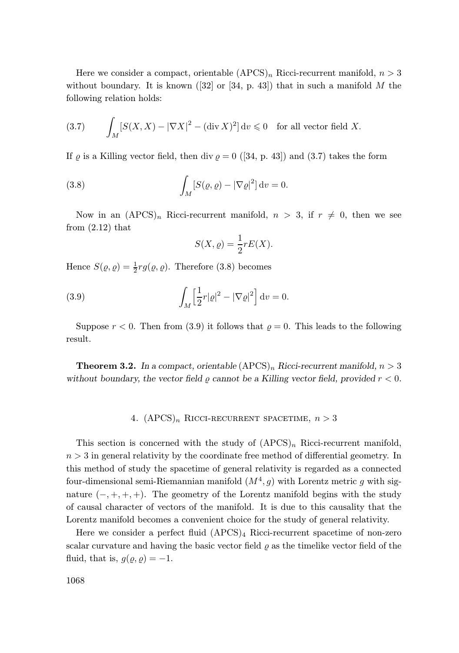Here we consider a compact, orientable  $(APCS)<sub>n</sub>$  Ricci-recurrent manifold,  $n > 3$ without boundary. It is known ([32] or [34, p. 43]) that in such a manifold M the following relation holds:

(3.7) 
$$
\int_M [S(X, X) - |\nabla X|^2 - (\text{div } X)^2] dv \leq 0 \text{ for all vector field } X.
$$

If  $\rho$  is a Killing vector field, then div  $\rho = 0$  ([34, p. 43]) and (3.7) takes the form

(3.8) 
$$
\int_M [S(\varrho, \varrho) - |\nabla \varrho|^2] dv = 0.
$$

Now in an  $(APCS)<sub>n</sub>$  Ricci-recurrent manifold,  $n > 3$ , if  $r \neq 0$ , then we see from  $(2.12)$  that

$$
S(X, \varrho) = \frac{1}{2}rE(X).
$$

Hence  $S(\varrho, \varrho) = \frac{1}{2} r g(\varrho, \varrho)$ . Therefore (3.8) becomes

(3.9) 
$$
\int_M \left[\frac{1}{2}r|\varrho|^2 - |\nabla\varrho|^2\right]dv = 0.
$$

Suppose  $r < 0$ . Then from (3.9) it follows that  $\rho = 0$ . This leads to the following result.

**Theorem 3.2.** In a compact, orientable  $(APCS)<sub>n</sub>$  Ricci-recurrent manifold,  $n > 3$ without boundary, the vector field  $\varrho$  cannot be a Killing vector field, provided  $r < 0$ .

### 4.  $(APCS)_n$  RICCI-RECURRENT SPACETIME,  $n > 3$

This section is concerned with the study of  $(APCS)<sub>n</sub>$  Ricci-recurrent manifold,  $n > 3$  in general relativity by the coordinate free method of differential geometry. In this method of study the spacetime of general relativity is regarded as a connected four-dimensional semi-Riemannian manifold  $(M^4, g)$  with Lorentz metric g with signature  $(-, +, +, +)$ . The geometry of the Lorentz manifold begins with the study of causal character of vectors of the manifold. It is due to this causality that the Lorentz manifold becomes a convenient choice for the study of general relativity.

Here we consider a perfect fluid  $(APCS)_4$  Ricci-recurrent spacetime of non-zero scalar curvature and having the basic vector field  $\rho$  as the timelike vector field of the fluid, that is,  $q(\rho, \rho) = -1$ .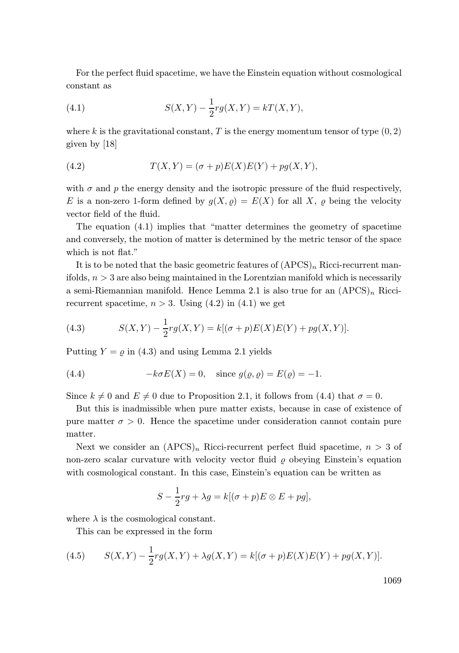For the perfect fluid spacetime, we have the Einstein equation without cosmological constant as

(4.1) 
$$
S(X,Y) - \frac{1}{2}rg(X,Y) = kT(X,Y),
$$

where k is the gravitational constant, T is the energy momentum tensor of type  $(0, 2)$ given by [18]

(4.2) 
$$
T(X,Y) = (\sigma + p)E(X)E(Y) + pg(X,Y),
$$

with  $\sigma$  and p the energy density and the isotropic pressure of the fluid respectively, E is a non-zero 1-form defined by  $g(X, \rho) = E(X)$  for all X,  $\rho$  being the velocity vector field of the fluid.

The equation (4.1) implies that "matter determines the geometry of spacetime and conversely, the motion of matter is determined by the metric tensor of the space which is not flat."

It is to be noted that the basic geometric features of  $(APCS)<sub>n</sub>$  Ricci-recurrent manifolds,  $n > 3$  are also being maintained in the Lorentzian manifold which is necessarily a semi-Riemannian manifold. Hence Lemma 2.1 is also true for an  $(APCS)<sub>n</sub>$  Riccirecurrent spacetime,  $n > 3$ . Using (4.2) in (4.1) we get

(4.3) 
$$
S(X,Y) - \frac{1}{2}rg(X,Y) = k[(\sigma + p)E(X)E(Y) + pg(X,Y)].
$$

Putting  $Y = \rho$  in (4.3) and using Lemma 2.1 yields

(4.4) 
$$
-k\sigma E(X) = 0
$$
, since  $g(\rho, \rho) = E(\rho) = -1$ .

Since  $k \neq 0$  and  $E \neq 0$  due to Proposition 2.1, it follows from (4.4) that  $\sigma = 0$ .

But this is inadmissible when pure matter exists, because in case of existence of pure matter  $\sigma > 0$ . Hence the spacetime under consideration cannot contain pure matter.

Next we consider an  $(APCS)<sub>n</sub>$  Ricci-recurrent perfect fluid spacetime,  $n > 3$  of non-zero scalar curvature with velocity vector fluid  $\rho$  obeying Einstein's equation with cosmological constant. In this case, Einstein's equation can be written as

$$
S - \frac{1}{2}rg + \lambda g = k[(\sigma + p)E \otimes E + pg],
$$

where  $\lambda$  is the cosmological constant.

This can be expressed in the form

(4.5) 
$$
S(X,Y) - \frac{1}{2}rg(X,Y) + \lambda g(X,Y) = k[(\sigma + p)E(X)E(Y) + pg(X,Y)].
$$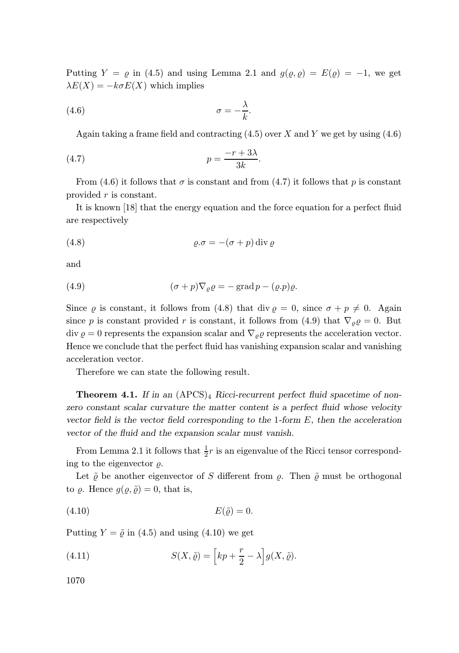Putting  $Y = \varrho$  in (4.5) and using Lemma 2.1 and  $g(\varrho, \varrho) = E(\varrho) = -1$ , we get  $\lambda E(X) = -k\sigma E(X)$  which implies

$$
\sigma = -\frac{\lambda}{k}.
$$

Again taking a frame field and contracting  $(4.5)$  over X and Y we get by using  $(4.6)$ 

$$
(4.7) \t\t\t\t p = \frac{-r + 3\lambda}{3k}.
$$

From (4.6) it follows that  $\sigma$  is constant and from (4.7) it follows that p is constant provided r is constant.

It is known [18] that the energy equation and the force equation for a perfect fluid are respectively

$$
(4.8) \t\t\t\t\t\t\varrho.\sigma = -(\sigma + p) \operatorname{div} \varrho
$$

and

(4.9) 
$$
(\sigma + p)\nabla_{\varrho}\varrho = -\operatorname{grad} p - (\varrho.p)\varrho.
$$

Since  $\varrho$  is constant, it follows from (4.8) that div  $\varrho = 0$ , since  $\sigma + p \neq 0$ . Again since p is constant provided r is constant, it follows from (4.9) that  $\nabla_{\rho}\rho = 0$ . But div  $\varrho = 0$  represents the expansion scalar and  $\nabla_{\varrho} \varrho$  represents the acceleration vector. Hence we conclude that the perfect fluid has vanishing expansion scalar and vanishing acceleration vector.

Therefore we can state the following result.

**Theorem 4.1.** If in an  $(APCS)<sub>4</sub> Ricci-recurrent perfect fluid spacetime of non$ zero constant scalar curvature the matter content is a perfect fluid whose velocity vector field is the vector field corresponding to the 1-form  $E$ , then the acceleration vector of the fluid and the expansion scalar must vanish.

From Lemma 2.1 it follows that  $\frac{1}{2}r$  is an eigenvalue of the Ricci tensor corresponding to the eigenvector  $\rho$ .

Let  $\tilde{\rho}$  be another eigenvector of S different from  $\rho$ . Then  $\tilde{\rho}$  must be orthogonal to  $\varrho$ . Hence  $g(\varrho, \tilde{\varrho}) = 0$ , that is,

$$
(4.10) \t\t\t E(\tilde{\varrho}) = 0.
$$

Putting  $Y = \tilde{\varrho}$  in (4.5) and using (4.10) we get

(4.11) 
$$
S(X, \tilde{\varrho}) = \left[kp + \frac{r}{2} - \lambda\right]g(X, \tilde{\varrho}).
$$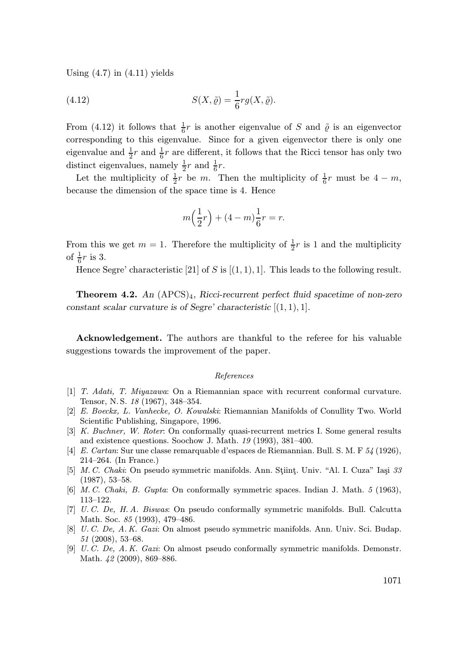Using  $(4.7)$  in  $(4.11)$  yields

(4.12) 
$$
S(X, \tilde{\varrho}) = \frac{1}{6} r g(X, \tilde{\varrho}).
$$

From (4.12) it follows that  $\frac{1}{6}r$  is another eigenvalue of S and  $\tilde{\varrho}$  is an eigenvector corresponding to this eigenvalue. Since for a given eigenvector there is only one eigenvalue and  $\frac{1}{2}r$  and  $\frac{1}{6}r$  are different, it follows that the Ricci tensor has only two distinct eigenvalues, namely  $\frac{1}{2}r$  and  $\frac{1}{6}r$ .

Let the multiplicity of  $\frac{1}{2}r$  be m. Then the multiplicity of  $\frac{1}{6}r$  must be  $4 - m$ , because the dimension of the space time is 4. Hence

$$
m\Big(\frac{1}{2}r\Big) + (4-m)\frac{1}{6}r = r.
$$

From this we get  $m = 1$ . Therefore the multiplicity of  $\frac{1}{2}r$  is 1 and the multiplicity of  $\frac{1}{6}r$  is 3.

Hence Segre' characteristic [21] of S is  $[(1, 1), 1]$ . This leads to the following result.

**Theorem 4.2.** An  $(APCS)_4$ , Ricci-recurrent perfect fluid spacetime of non-zero constant scalar curvature is of Segre' characteristic  $[(1, 1), 1]$ .

Acknowledgement. The authors are thankful to the referee for his valuable suggestions towards the improvement of the paper.

#### References

- [1] T. Adati, T. Miyazawa: On a Riemannian space with recurrent conformal curvature. Tensor, N. S. 18 (1967), 348–354.
- [2] E. Boeckx, L. Vanhecke, O. Kowalski: Riemannian Manifolds of Conullity Two. World Scientific Publishing, Singapore, 1996.
- [3] K. Buchner, W. Roter: On conformally quasi-recurrent metrics I. Some general results and existence questions. Soochow J. Math. 19 (1993), 381–400.
- [4] E. Cartan: Sur une classe remarquable d'espaces de Riemannian. Bull. S. M. F 54 (1926), 214–264. (In France.)
- [5] M. C. Chaki: On pseudo symmetric manifolds. Ann. Stiint, Univ. "Al. I. Cuza" Iasi  $33$ (1987), 53–58.
- [6] M. C. Chaki, B. Gupta: On conformally symmetric spaces. Indian J. Math. 5 (1963), 113–122.
- [7] U. C. De, H. A. Biswas: On pseudo conformally symmetric manifolds. Bull. Calcutta Math. Soc. 85 (1993), 479–486.
- [8] U. C. De, A. K. Gazi: On almost pseudo symmetric manifolds. Ann. Univ. Sci. Budap. 51 (2008), 53–68.
- [9] U. C. De, A. K. Gazi: On almost pseudo conformally symmetric manifolds. Demonstr. Math. 42 (2009), 869–886.